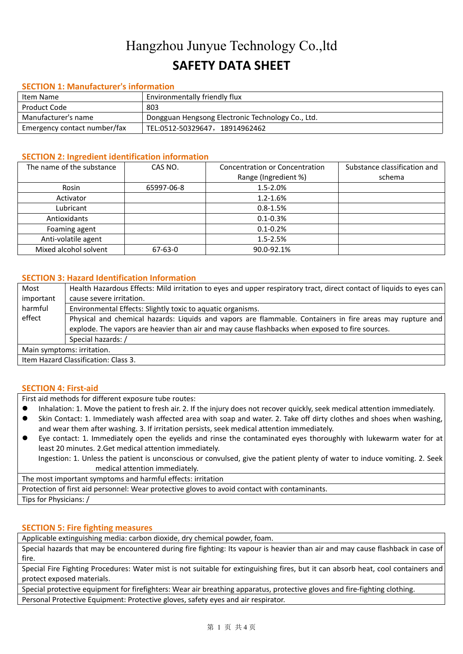# Hangzhou Junyue Technology Co.,ltd **SAFETY DATA SHEET**

#### **SECTION 1: Manufacturer's information**

| Item Name                    | Environmentally friendly flux                     |
|------------------------------|---------------------------------------------------|
| Product Code                 | 803                                               |
| Manufacturer's name          | Dongguan Hengsong Electronic Technology Co., Ltd. |
| Emergency contact number/fax | TEL:0512-50329647,18914962462                     |

#### **SECTION 2: Ingredient identification information**

| The name of the substance | CAS NO.       | <b>Concentration or Concentration</b> | Substance classification and |
|---------------------------|---------------|---------------------------------------|------------------------------|
|                           |               | Range (Ingredient %)                  | schema                       |
| Rosin                     | 65997-06-8    | $1.5 - 2.0\%$                         |                              |
| Activator                 |               | $1.2 - 1.6%$                          |                              |
| Lubricant                 |               | $0.8 - 1.5%$                          |                              |
| Antioxidants              |               | $0.1 - 0.3%$                          |                              |
| Foaming agent             |               | $0.1 - 0.2%$                          |                              |
| Anti-volatile agent       |               | $1.5 - 2.5%$                          |                              |
| Mixed alcohol solvent     | $67 - 63 - 0$ | 90.0-92.1%                            |                              |

### **SECTION 3: Hazard Identification Information**

| Most                                                                                                                | Health Hazardous Effects: Mild irritation to eyes and upper respiratory tract, direct contact of liquids to eyes can |  |
|---------------------------------------------------------------------------------------------------------------------|----------------------------------------------------------------------------------------------------------------------|--|
| cause severe irritation.<br>important                                                                               |                                                                                                                      |  |
| harmful<br>Environmental Effects: Slightly toxic to aquatic organisms.                                              |                                                                                                                      |  |
| effect<br>Physical and chemical hazards: Liquids and vapors are flammable. Containers in fire areas may rupture and |                                                                                                                      |  |
|                                                                                                                     | explode. The vapors are heavier than air and may cause flashbacks when exposed to fire sources.                      |  |
| Special hazards: /                                                                                                  |                                                                                                                      |  |
| Main symptoms: irritation.                                                                                          |                                                                                                                      |  |
| Item Hazard Classification: Class 3.                                                                                |                                                                                                                      |  |

#### **SECTION 4: First-aid**

First aid methods for different exposure tube routes:

- $\bullet$  Inhalation: 1. Move the patient to fresh air. 2. If the injury does not recover quickly, seek medical attention immediately.
- Skin Contact: 1. Immediately wash affected area with soap and water. 2. Take off dirty clothes and shoes when washing, and wear them after washing. 3. If irritation persists, seek medical attention immediately.
- Eye contact: 1. Immediately open the eyelids and rinse the contaminated eyes thoroughly with lukewarm water for at least 20 minutes. 2.Get medical attention immediately.

Ingestion: 1. Unless the patient is unconscious or convulsed, give the patient plenty of water to induce vomiting. 2. Seek medical attention immediately.

The most important symptoms and harmful effects: irritation

Protection of first aid personnel: Wear protective gloves to avoid contact with contaminants.

Tips for Physicians: /

### **SECTION 5: Fire fighting measures**

Applicable extinguishing media: carbon dioxide, dry chemical powder, foam.

Special hazards that may be encountered during fire fighting: Its vapour is heavier than air and may cause flashback in case of fire.

Special Fire Fighting Procedures: Water mist is not suitable for extinguishing fires, but it can absorb heat, cool containers and protect exposed materials.

Special protective equipment for firefighters: Wear air breathing apparatus, protective gloves and fire-fighting clothing. Personal Protective Equipment: Protective gloves, safety eyes and air respirator.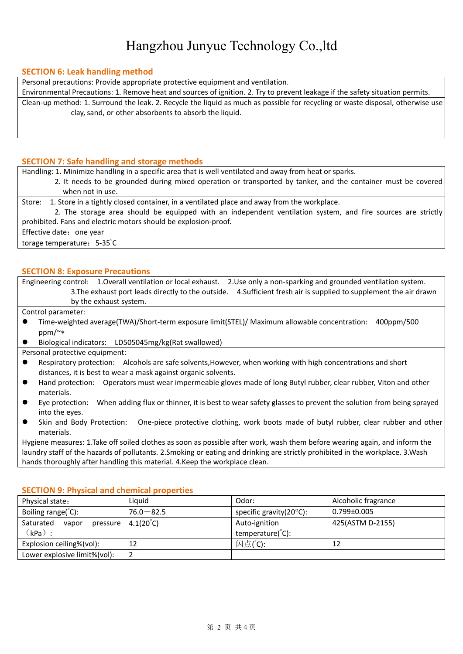# Hangzhou Junyue Technology Co.,ltd

#### **SECTION 6: Leak handling method**

Personal precautions: Provide appropriate protective equipment and ventilation.

Environmental Precautions: 1. Remove heat and sources of ignition. 2. Try to prevent leakage if the safety situation permits. Clean-up method: 1. Surround the leak. 2. Recycle the liquid as much as possible for recycling or waste disposal, otherwise use clay, sand, or other absorbents to absorb the liquid.

#### **SECTION 7: Safe handling and storage methods**

Handling: 1. Minimize handling in a specific area that is well ventilated and away from heat or sparks.

- 2. It needs to be grounded during mixed operation or transported bytanker, and the container must be covered when not in use.
- 

Store: 1. Store in a tightly closed container, in a ventilated place and away from the workplace.<br>2. The storage area should be equipped with an independent ventilation system, and fire sources are strictly prohibited. Fans and electric motors should be explosion-proof.

Effective date: one year

torage temperature: 5-35°C  $\mathcal{C}$ 

#### **SECTION 8: Exposure Precautions**

Engineering control: 1.Overall ventilation or local exhaust. 2.Use only a non-sparking and grounded ventilation system. 3.The exhaust port leads directly to the outside. 4.Sufficient fresh air is supplied to supplement the air drawn by the exhaust system.

Control parameter:

- Time-weighted average(TWA)/Short-term exposure limit(STEL)/ Maximum allowable concentration: 400ppm/500 ppm/~
- Biological indicators: LD505045mg/kg(Rat swallowed)
- Personal protective equipment:
- Respiratory protection: Alcohols are safe solvents,However, when working with high concentrations and short distances, it is best to wear a mask against organic solvents.
- Hand protection: Operators must wear impermeable gloves made of long Butyl rubber, clear rubber, Viton and other materials.
- Eye protection: When adding flux or thinner, it is best to wear safety glasses to prevent the solution from being sprayed into the eyes.
- Skin and Body Protection: One-piece protective clothing, work boots made of butyl rubber, clear rubber and other materials.

Hygiene measures: 1.Take off soiled clothes as soon as possible after work,wash them before wearing again, and inform the laundry staff of the hazards of pollutants. 2.Smoking or eating and drinking are strictly prohibited in the workplace.3.Wash hands thoroughly after handling this material. 4.Keep the workplace clean.

#### **SECTION 9: Physical and chemical properties**

| Physical state:               | Liquid                      | Odor:                              | Alcoholic fragrance |
|-------------------------------|-----------------------------|------------------------------------|---------------------|
| Boiling range( $^{\circ}$ C): | $76.0 - 82.5$               | specific gravity( $20^{\circ}$ C): | $0.799 \pm 0.005$   |
| Saturated<br>vapor            | pressure $4.1(20^{\circ}C)$ | Auto-ignition                      | 425(ASTM D-2155)    |
| $(kPa)$ :                     |                             | temperature(°C):                   |                     |
| Explosion ceiling%(vol):      |                             | 闪点(°C):                            |                     |
| Lower explosive limit%(vol):  |                             |                                    |                     |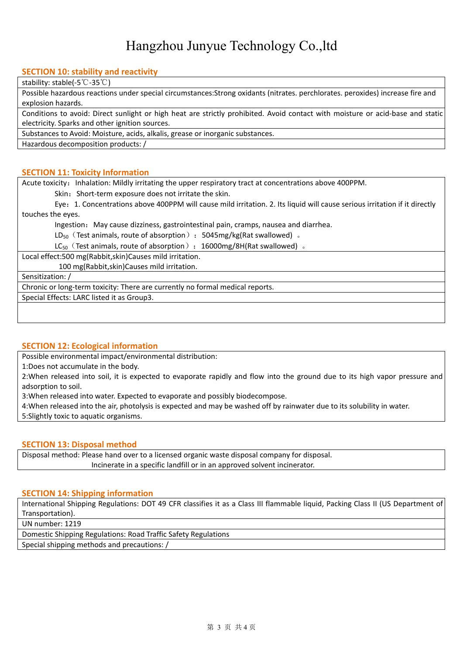# Hangzhou Junyue Technology Co.,ltd

### **SECTION 10: stability and reactivity**

stability: stable(-5℃-35℃)

Possible hazardous reactions under special circumstances:Strong oxidants (nitrates. perchlorates. peroxides) increase fire and explosion hazards.

Conditions to avoid: Direct sunlight or high heat are strictly prohibited. Avoid contact with moisture or acid-base and static electricity. Sparks and other ignition sources.

Substances to Avoid: Moisture, acids, alkalis, grease or inorganic substances.

Hazardous decomposition products: /

#### **SECTION 11: Toxicity Information**

Acute toxicity: Inhalation: Mildly irritating the upper respiratory tract at concentrations above 400PPM.

Skin: Short-term exposure does not irritate the skin.

Eye:1. Concentrations above 400PPM will cause mildirritation. 2. Its liquid will cause serious irritation if it directly touches the eyes.

Ingestion: May cause dizziness, gastrointestinal pain, cramps, nausea and diarrhea.

LD<sub>50</sub> (Test animals, route of absorption): 5045mg/kg(Rat swallowed)  $\delta$ 

 $LC_{50}$  (Test animals, route of absorption): 16000mg/8H(Rat swallowed)  $\square$ 

Local effect:500 mg(Rabbit,skin)Causes mild irritation.

100 mg(Rabbit,skin)Causes mild irritation.

Sensitization: /

Chronic or long-term toxicity: There are currently no formal medical reports.

Special Effects: LARC listed it as Group3.

#### **SECTION 12: Ecological information**

Possible environmental impact/environmental distribution:

1:Does not accumulate in the body.

2:When released into soil, it is expected to evaporate rapidly and flow into the ground due to its high vapor pressure and adsorption to soil.

3:When released into water. Expected to evaporate and possibly biodecompose.

4:When released into the air, photolysis is expected and may be washed off by rainwater due to its solubility in water. 5:Slightly toxic to aquatic organisms.

#### **SECTION 13: Disposal method**

Disposal method: Please hand over to a licensed organic waste disposal company for disposal. Incinerate in a specific landfill or in an approved solvent incinerator.

#### **SECTION 14: Shipping information**

International Shipping Regulations: DOT 49 CFR classifies it as a Class III flammable liquid, Packing Class II (US Department of Transportation).

UN number: 1219

Domestic Shipping Regulations: Road Traffic Safety Regulations

Special shipping methods and precautions: /